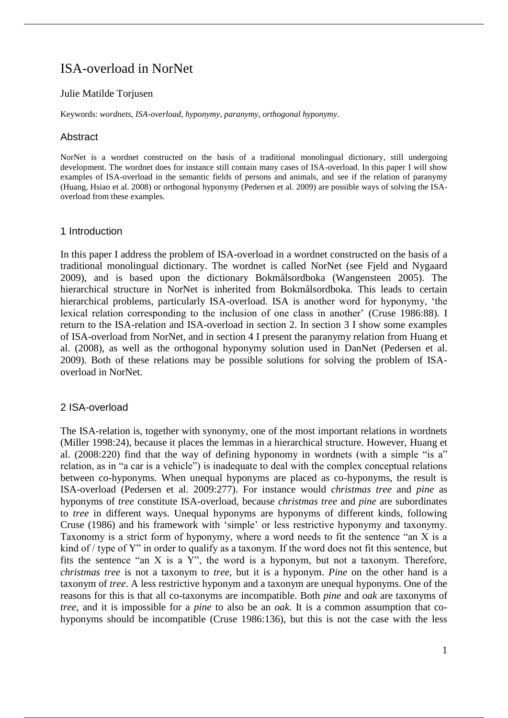# ISA-overload in NorNet

#### Julie Matilde Torjusen

Keywords: *wordnets*, *ISA-overload*, *hyponymy*, *paranymy*, *orthogonal hyponymy*.

# Abstract

NorNet is a wordnet constructed on the basis of a traditional monolingual dictionary, still undergoing development. The wordnet does for instance still contain many cases of ISA-overload. In this paper I will show examples of ISA-overload in the semantic fields of persons and animals, and see if the relation of paranymy (Huang, Hsiao et al. 2008) or orthogonal hyponymy (Pedersen et al. 2009) are possible ways of solving the ISAoverload from these examples.

# 1 Introduction

In this paper I address the problem of ISA-overload in a wordnet constructed on the basis of a traditional monolingual dictionary. The wordnet is called NorNet (see Fjeld and Nygaard 2009), and is based upon the dictionary Bokmålsordboka (Wangensteen 2005). The hierarchical structure in NorNet is inherited from Bokmålsordboka. This leads to certain hierarchical problems, particularly ISA-overload. ISA is another word for hyponymy, 'the lexical relation corresponding to the inclusion of one class in another' (Cruse 1986:88). I return to the ISA-relation and ISA-overload in section 2. In section 3 I show some examples of ISA-overload from NorNet, and in section 4 I present the paranymy relation from Huang et al. (2008), as well as the orthogonal hyponymy solution used in DanNet (Pedersen et al. 2009). Both of these relations may be possible solutions for solving the problem of ISAoverload in NorNet.

# 2 ISA-overload

The ISA-relation is, together with synonymy, one of the most important relations in wordnets (Miller 1998:24), because it places the lemmas in a hierarchical structure. However, Huang et al. (2008:220) find that the way of defining hyponomy in wordnets (with a simple "is a" relation, as in "a car is a vehicle") is inadequate to deal with the complex conceptual relations between co-hyponyms. When unequal hyponyms are placed as co-hyponyms, the result is ISA-overload (Pedersen et al. 2009:277). For instance would *christmas tree* and *pine* as hyponyms of *tree* constitute ISA-overload, because *christmas tree* and *pine* are subordinates to *tree* in different ways. Unequal hyponyms are hyponyms of different kinds, following Cruse (1986) and his framework with 'simple' or less restrictive hyponymy and taxonymy. Taxonomy is a strict form of hyponymy, where a word needs to fit the sentence "an X is a kind of / type of Y" in order to qualify as a taxonym. If the word does not fit this sentence, but fits the sentence "an  $X$  is a  $Y$ ", the word is a hyponym, but not a taxonym. Therefore, *christmas tree* is not a taxonym to *tree*, but it is a hyponym. *Pine* on the other hand is a taxonym of *tree*. A less restrictive hyponym and a taxonym are unequal hyponyms. One of the reasons for this is that all co-taxonyms are incompatible. Both *pine* and *oak* are taxonyms of *tree*, and it is impossible for a *pine* to also be an *oak*. It is a common assumption that cohyponyms should be incompatible (Cruse 1986:136), but this is not the case with the less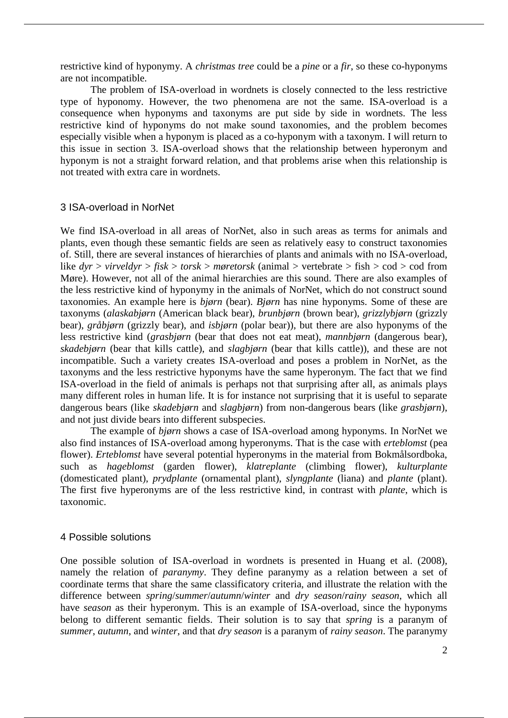restrictive kind of hyponymy. A *christmas tree* could be a *pine* or a *fir*, so these co-hyponyms are not incompatible.

The problem of ISA-overload in wordnets is closely connected to the less restrictive type of hyponomy. However, the two phenomena are not the same. ISA-overload is a consequence when hyponyms and taxonyms are put side by side in wordnets. The less restrictive kind of hyponyms do not make sound taxonomies, and the problem becomes especially visible when a hyponym is placed as a co-hyponym with a taxonym. I will return to this issue in section 3. ISA-overload shows that the relationship between hyperonym and hyponym is not a straight forward relation, and that problems arise when this relationship is not treated with extra care in wordnets.

#### 3 ISA-overload in NorNet

We find ISA-overload in all areas of NorNet, also in such areas as terms for animals and plants, even though these semantic fields are seen as relatively easy to construct taxonomies of. Still, there are several instances of hierarchies of plants and animals with no ISA-overload, like *dyr* > *virveldyr* > *fisk* > *torsk* > *møretorsk* (animal > vertebrate > fish > cod > cod from Møre). However, not all of the animal hierarchies are this sound. There are also examples of the less restrictive kind of hyponymy in the animals of NorNet, which do not construct sound taxonomies. An example here is *bjørn* (bear). *Bjørn* has nine hyponyms. Some of these are taxonyms (*alaskabjørn* (American black bear), *brunbjørn* (brown bear), *grizzlybjørn* (grizzly bear), *gråbjørn* (grizzly bear), and *isbjørn* (polar bear)), but there are also hyponyms of the less restrictive kind (*grasbjørn* (bear that does not eat meat), *mannbjørn* (dangerous bear), *skadebjørn* (bear that kills cattle), and *slagbjørn* (bear that kills cattle)), and these are not incompatible. Such a variety creates ISA-overload and poses a problem in NorNet, as the taxonyms and the less restrictive hyponyms have the same hyperonym. The fact that we find ISA-overload in the field of animals is perhaps not that surprising after all, as animals plays many different roles in human life. It is for instance not surprising that it is useful to separate dangerous bears (like *skadebjørn* and *slagbjørn*) from non-dangerous bears (like *grasbjørn*), and not just divide bears into different subspecies.

The example of *bjørn* shows a case of ISA-overload among hyponyms. In NorNet we also find instances of ISA-overload among hyperonyms. That is the case with *erteblomst* (pea flower). *Erteblomst* have several potential hyperonyms in the material from Bokmålsordboka, such as *hageblomst* (garden flower), *klatreplante* (climbing flower), *kulturplante* (domesticated plant), *prydplante* (ornamental plant), *slyngplante* (liana) and *plante* (plant). The first five hyperonyms are of the less restrictive kind, in contrast with *plante*, which is taxonomic.

#### 4 Possible solutions

One possible solution of ISA-overload in wordnets is presented in Huang et al. (2008), namely the relation of *paranymy*. They define paranymy as a relation between a set of coordinate terms that share the same classificatory criteria, and illustrate the relation with the difference between *spring*/*summer*/*autumn*/*winter* and *dry season*/*rainy season*, which all have *season* as their hyperonym. This is an example of ISA-overload, since the hyponyms belong to different semantic fields. Their solution is to say that *spring* is a paranym of *summer*, *autumn*, and *winter*, and that *dry season* is a paranym of *rainy season*. The paranymy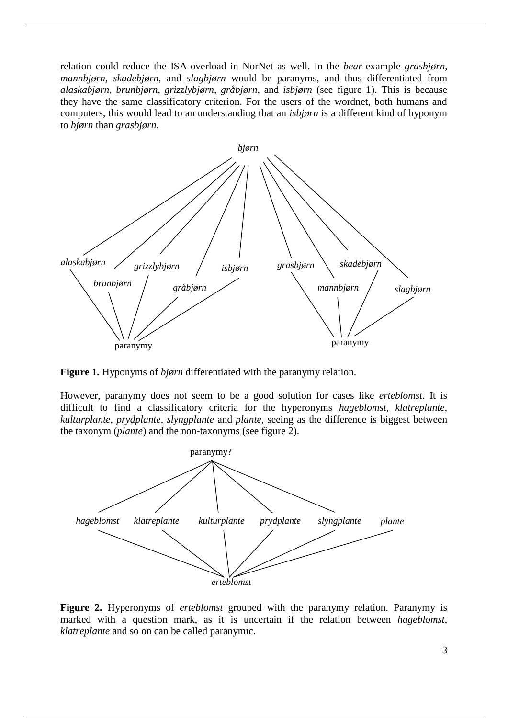relation could reduce the ISA-overload in NorNet as well. In the *bear*-example *grasbjørn*, *mannbjørn*, *skadebjørn*, and *slagbjørn* would be paranyms, and thus differentiated from *alaskabjørn*, *brunbjørn*, *grizzlybjørn*, *gråbjørn*, and *isbjørn* (see figure 1). This is because they have the same classificatory criterion. For the users of the wordnet, both humans and computers, this would lead to an understanding that an *isbjørn* is a different kind of hyponym to *bjørn* than *grasbjørn*.



**Figure 1.** Hyponyms of *bjørn* differentiated with the paranymy relation.

However, paranymy does not seem to be a good solution for cases like *erteblomst*. It is difficult to find a classificatory criteria for the hyperonyms *hageblomst*, *klatreplante*, *kulturplante*, *prydplante*, *slyngplante* and *plante*, seeing as the difference is biggest between the taxonym (*plante*) and the non-taxonyms (see figure 2).



**Figure 2.** Hyperonyms of *erteblomst* grouped with the paranymy relation. Paranymy is marked with a question mark, as it is uncertain if the relation between *hageblomst*, *klatreplante* and so on can be called paranymic.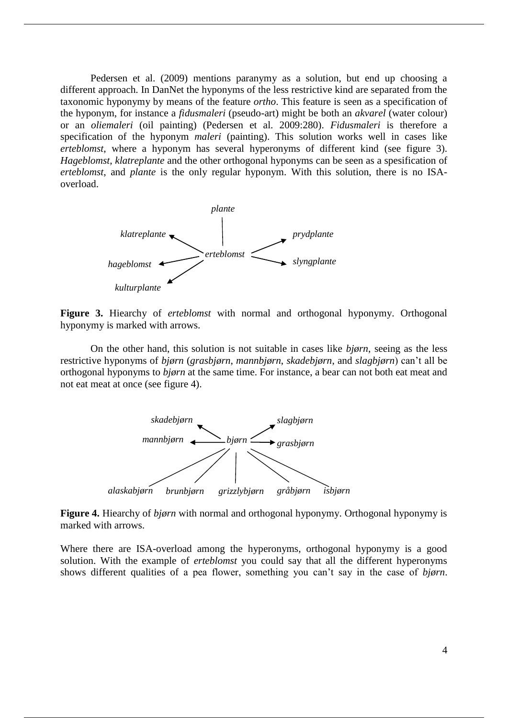Pedersen et al. (2009) mentions paranymy as a solution, but end up choosing a different approach. In DanNet the hyponyms of the less restrictive kind are separated from the taxonomic hyponymy by means of the feature *ortho*. This feature is seen as a specification of the hyponym, for instance a *fidusmaleri* (pseudo-art) might be both an *akvarel* (water colour) or an *oliemaleri* (oil painting) (Pedersen et al. 2009:280). *Fidusmaleri* is therefore a specification of the hyponym *maleri* (painting). This solution works well in cases like *erteblomst*, where a hyponym has several hyperonyms of different kind (see figure 3). *Hageblomst*, *klatreplante* and the other orthogonal hyponyms can be seen as a spesification of *erteblomst*, and *plante* is the only regular hyponym. With this solution, there is no ISAoverload.



**Figure 3.** Hiearchy of *erteblomst* with normal and orthogonal hyponymy. Orthogonal hyponymy is marked with arrows.

On the other hand, this solution is not suitable in cases like *bjørn*, seeing as the less restrictive hyponyms of *bjørn* (*grasbjørn*, *mannbjørn*, *skadebjørn*, and *slagbjørn*) can't all be orthogonal hyponyms to *bjørn* at the same time. For instance, a bear can not both eat meat and not eat meat at once (see figure 4).



**Figure 4.** Hiearchy of *bjørn* with normal and orthogonal hyponymy. Orthogonal hyponymy is marked with arrows.

Where there are ISA-overload among the hyperonyms, orthogonal hyponymy is a good solution. With the example of *erteblomst* you could say that all the different hyperonyms shows different qualities of a pea flower, something you can't say in the case of *bjørn*.